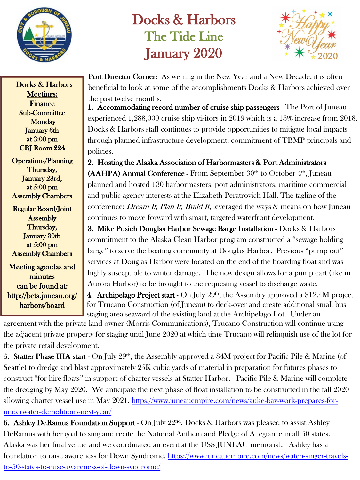

## Docks & Harbors The Tide Line January 2020



Port Director Corner: As we ring in the New Year and a New Decade, it is often beneficial to look at some of the accomplishments Docks & Harbors achieved over the past twelve months.

1. Accommodating record number of cruise ship passengers - The Port of Juneau experienced 1,288,000 cruise ship visitors in 2019 which is a 13% increase from 2018. Docks & Harbors staff continues to provide opportunities to mitigate local impacts through planned infrastructure development, commitment of TBMP principals and policies.

2. Hosting the Alaska Association of Harbormasters & Port Administrators  $(AAHPA)$  Annual Conference - From September  $30<sup>th</sup>$  to October  $4<sup>th</sup>$ , Juneau planned and hosted 130 harbormasters, port administrators, maritime commercial and public agency interests at the Elizabeth Peratrovich Hall. The tagline of the conference: *Dream It, Plan It, Build It*, leveraged the ways  $\&$  means on how Juneau continues to move forward with smart, targeted waterfront development.

3. Mike Pusich Douglas Harbor Sewage Barge Installation - Docks & Harbors commitment to the Alaska Clean Harbor program constructed a "sewage holding barge" to serve the boating community at Douglas Harbor. Previous "pump out" services at Douglas Harbor were located on the end of the boarding float and was highly susceptible to winter damage. The new design allows for a pump cart (like in Aurora Harbor) to be brought to the requesting vessel to discharge waste.

4. Archipelago Project start - On July  $29<sup>th</sup>$ , the Assembly approved a \$12.4M project for Trucano Construction (of Juneau) to deck-over and create additional small bus staging area seaward of the existing land at the Archipelago Lot. Under an

agreement with the private land owner (Morris Communications), Trucano Construction will continue using the adjacent private property for staging until June 2020 at which time Trucano will relinquish use of the lot for the private retail development.

5. Statter Phase IIIA start - On July  $29<sup>th</sup>$ , the Assembly approved a \$4M project for Pacific Pile & Marine (of Seattle) to dredge and blast approximately 25K cubic yards of material in preparation for futures phases to construct "for hire floats" in support of charter vessels at Statter Harbor. Pacific Pile & Marine will complete the dredging by May 2020. We anticipate the next phase of float installation to be constructed in the fall 2020 [allowing charter vessel use in May 2021. https://www.juneauempire.com/news/auke-bay-work-prepares-for](https://www.juneauempire.com/news/auke-bay-work-prepares-for-underwater-demolitions-next-year/)underwater-demolitions-next-year/

6. Ashley DeRamus Foundation Support - On July  $22<sup>nd</sup>$ , Docks & Harbors was pleased to assist Ashley DeRamus with her goal to sing and recite the National Anthem and Pledge of Allegiance in all 50 states. Alaska was her final venue and we coordinated an event at the USS JUNEAU memorial. Ashley has a [foundation to raise awareness for Down Syndrome. https://www.juneauempire.com/news/watch-singer-travels](https://www.juneauempire.com/news/watch-singer-travels-to-50-states-to-raise-awareness-of-down-syndrome/)to-50-states-to-raise-awareness-of-down-syndrome/

Docks & Harbors Meetings: Finance Sub-Committee **Monday** January 6th at 3:00 pm CBJ Room 224

Operations/Planning Thursday, January 23rd, at 5:00 pm Assembly Chambers

Regular Board/Joint **Assembly** Thursday, January 30th at 5:00 pm Assembly Chambers

Meeting agendas and minutes can be found at: http://beta.juneau.org/ harbors/board